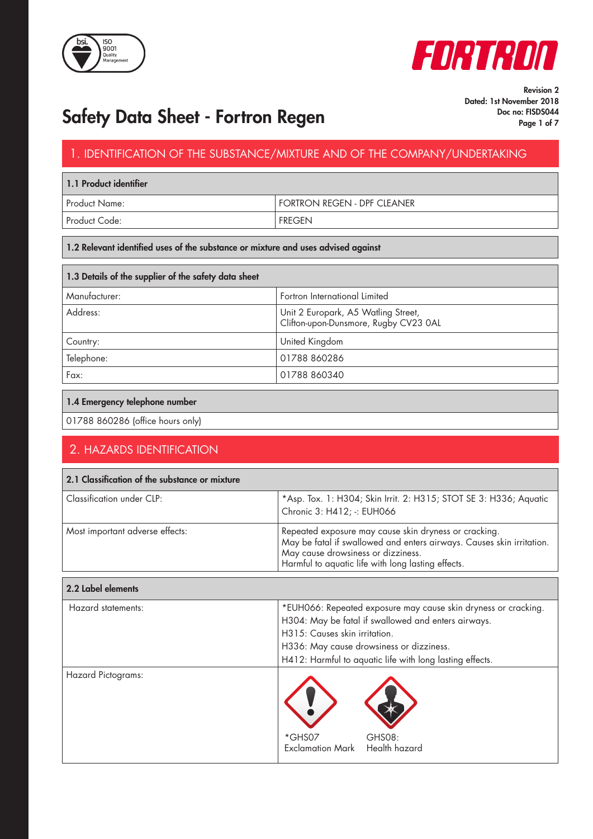



# Safety Data Sheet - Fortron Regen Page 1 of 7 Doc no: FISDS044

Revision 2 Dated: 1st November 2018

### 1. IDENTIFICATION OF THE SUBSTANCE/MIXTURE AND OF THE COMPANY/UNDERTAKING

| 1.1 Product identifier |                             |  |  |
|------------------------|-----------------------------|--|--|
| Product Name:          | FORTRON REGEN - DPF CLEANER |  |  |
| Product Code:          | <b>FREGEN</b>               |  |  |

### 1.2 Relevant identified uses of the substance or mixture and uses advised against

| 1.3 Details of the supplier of the safety data sheet |                                                                              |  |  |
|------------------------------------------------------|------------------------------------------------------------------------------|--|--|
| Manufacturer:                                        | Fortron International Limited                                                |  |  |
| Address:                                             | Unit 2 Europark, A5 Watling Street,<br>Clifton-upon-Dunsmore, Rugby CV23 0AL |  |  |
| Country:                                             | United Kingdom                                                               |  |  |
| Telephone:                                           | 01788 860286                                                                 |  |  |
| Fax:                                                 | 01788 860340                                                                 |  |  |

### 1.4 Emergency telephone number

01788 860286 (office hours only)

## 2. HAZARDS IDENTIFICATION

| 2.1 Classification of the substance or mixture |                                                                                                                                                                                                                                                                |  |  |  |
|------------------------------------------------|----------------------------------------------------------------------------------------------------------------------------------------------------------------------------------------------------------------------------------------------------------------|--|--|--|
| Classification under CLP:                      | *Asp. Tox. 1: H304; Skin Irrit. 2: H315; STOT SE 3: H336; Aquatic<br>Chronic 3: H412; -: EUH066                                                                                                                                                                |  |  |  |
| Most important adverse effects:                | Repeated exposure may cause skin dryness or cracking.<br>May be fatal if swallowed and enters airways. Causes skin irritation.<br>May cause drowsiness or dizziness.<br>Harmful to aquatic life with long lasting effects.                                     |  |  |  |
| 2.2 Label elements                             |                                                                                                                                                                                                                                                                |  |  |  |
| Hazard statements:                             | *EUH066: Repeated exposure may cause skin dryness or cracking.<br>H304: May be fatal if swallowed and enters airways.<br>H315: Causes skin irritation.<br>H336: May cause drowsiness or dizziness.<br>H412: Harmful to aquatic life with long lasting effects. |  |  |  |
| Hazard Pictograms:                             | *GHS07<br>GHS08:<br>Health hazard<br><b>Exclamation Mark</b>                                                                                                                                                                                                   |  |  |  |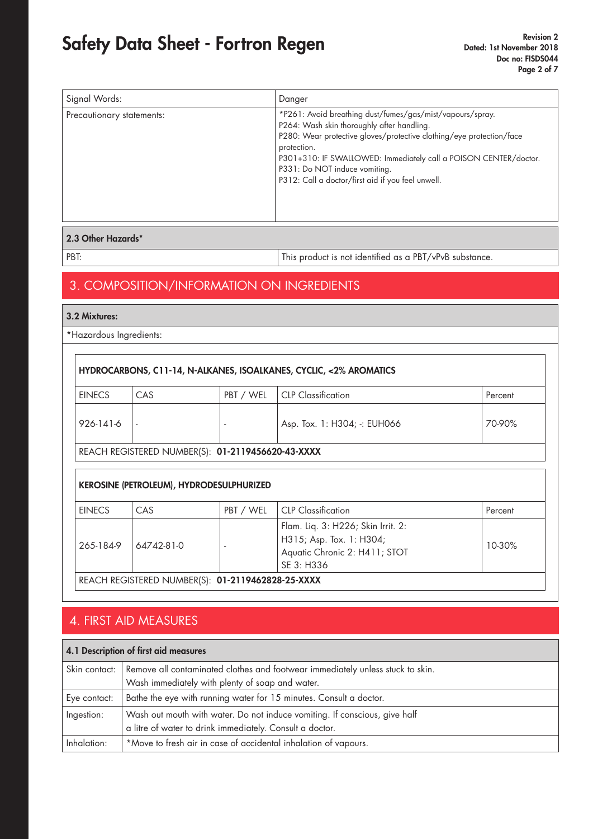| Signal Words:             | Danger                                                                                                                                                                                                                                                                                                                                                   |
|---------------------------|----------------------------------------------------------------------------------------------------------------------------------------------------------------------------------------------------------------------------------------------------------------------------------------------------------------------------------------------------------|
| Precautionary statements: | *P261: Avoid breathing dust/fumes/gas/mist/vapours/spray.<br>P264: Wash skin thoroughly after handling.<br>P280: Wear protective gloves/protective clothing/eye protection/face<br>protection.<br>P301+310: IF SWALLOWED: Immediately call a POISON CENTER/doctor.<br>P331: Do NOT induce vomiting.<br>P312: Call a doctor/first aid if you feel unwell. |

### 2.3 Other Hazards\*

PBT: PBT: This product is not identified as a PBT/vPvB substance.

## 3. COMPOSITION/INFORMATION ON INGREDIENTS

#### 3.2 Mixtures:

\*Hazardous Ingredients:

|               |                                                   |           | HYDROCARBONS, C11-14, N-ALKANES, ISOALKANES, CYCLIC, <2% AROMATICS                                            |         |
|---------------|---------------------------------------------------|-----------|---------------------------------------------------------------------------------------------------------------|---------|
| <b>EINECS</b> | CAS                                               | PBT / WEL | <b>CLP</b> Classification                                                                                     | Percent |
| 926-141-6     |                                                   |           | Asp. Tox. 1: H304; -: EUH066                                                                                  | 70-90%  |
|               | REACH REGISTERED NUMBER(S): 01-2119456620-43-XXXX |           |                                                                                                               |         |
|               | <b>KEROSINE (PETROLEUM), HYDRODESULPHURIZED</b>   |           |                                                                                                               |         |
|               |                                                   |           |                                                                                                               |         |
| <b>EINECS</b> | CAS                                               | PBT / WEL | <b>CLP</b> Classification                                                                                     | Percent |
| 265-184-9     | 64742-81-0                                        |           | Flam. Liq. 3: H226; Skin Irrit. 2:<br>H315; Asp. Tox. 1: H304;<br>Aquatic Chronic 2: H411; STOT<br>SE 3: H336 | 10-30%  |

## 4. FIRST AID MEASURES

## 4.1 Description of first aid measures Skin contact: Remove all contaminated clothes and footwear immediately unless stuck to skin. Wash immediately with plenty of soap and water. Eye contact: | Bathe the eye with running water for 15 minutes. Consult a doctor. Ingestion: Wash out mouth with water. Do not induce vomiting. If conscious, give half a litre of water to drink immediately. Consult a doctor. Inhalation:  $\vert *$  Move to fresh air in case of accidental inhalation of vapours.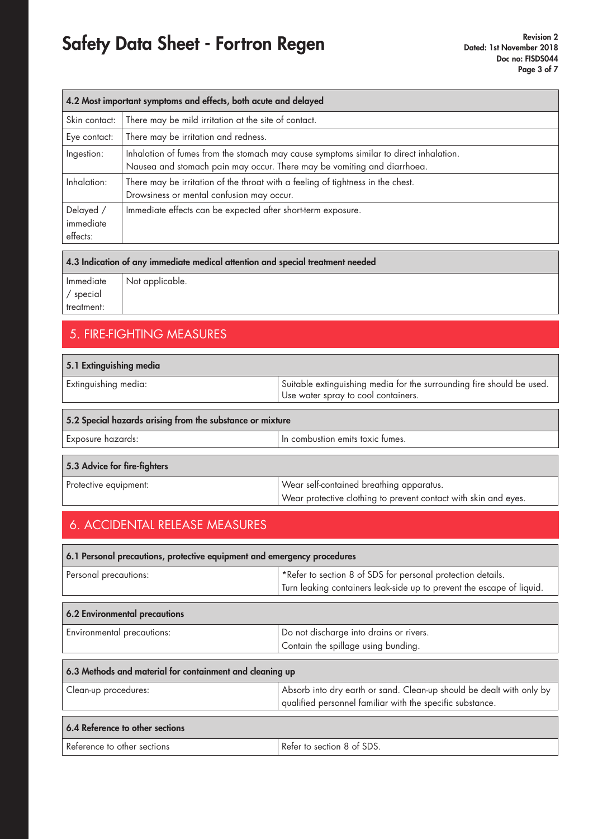| 4.2 Most important symptoms and effects, both acute and delayed |                                                                                                                                                                  |  |  |
|-----------------------------------------------------------------|------------------------------------------------------------------------------------------------------------------------------------------------------------------|--|--|
| Skin contact:                                                   | There may be mild irritation at the site of contact.                                                                                                             |  |  |
| Eye contact:                                                    | There may be irritation and redness.                                                                                                                             |  |  |
| Ingestion:                                                      | Inhalation of fumes from the stomach may cause symptoms similar to direct inhalation.<br>Nausea and stomach pain may occur. There may be vomiting and diarrhoea. |  |  |
| Inhalation:                                                     | There may be irritation of the throat with a feeling of tightness in the chest.<br>Drowsiness or mental confusion may occur.                                     |  |  |
| Delayed /<br>immediate<br>effects:                              | Immediate effects can be expected after short-term exposure.                                                                                                     |  |  |

#### 4.3 Indication of any immediate medical attention and special treatment needed

| Immediate  |  |  |
|------------|--|--|
| / special  |  |  |
| treatment: |  |  |

Not applicable.

## 5. FIRE-FIGHTING MEASURES

| 5.1 Extinguishing media                                   |                                                                                                              |  |  |
|-----------------------------------------------------------|--------------------------------------------------------------------------------------------------------------|--|--|
| Extinguishing media:                                      | Suitable extinguishing media for the surrounding fire should be used.<br>Use water spray to cool containers. |  |  |
| 5.2 Special hazards arising from the substance or mixture |                                                                                                              |  |  |
| Exposure hazards:                                         | In combustion emits toxic fumes.                                                                             |  |  |
| 5.3 Advice for fire-fighters                              |                                                                                                              |  |  |
| Protective equipment:                                     | Wear self-contained breathing apparatus.<br>Wear protective clothing to prevent contact with skin and eyes.  |  |  |

## 6. ACCIDENTAL RELEASE MEASURES

| 6.1 Personal precautions, protective equipment and emergency procedures |                                                                                                                                   |  |  |
|-------------------------------------------------------------------------|-----------------------------------------------------------------------------------------------------------------------------------|--|--|
| Personal precautions:                                                   | *Refer to section 8 of SDS for personal protection details.                                                                       |  |  |
|                                                                         | Turn leaking containers leak-side up to prevent the escape of liquid.                                                             |  |  |
| 6.2 Environmental precautions                                           |                                                                                                                                   |  |  |
| Environmental precautions:                                              | Do not discharge into drains or rivers.                                                                                           |  |  |
|                                                                         | Contain the spillage using bunding.                                                                                               |  |  |
| 6.3 Methods and material for containment and cleaning up                |                                                                                                                                   |  |  |
| Clean-up procedures:                                                    | Absorb into dry earth or sand. Clean-up should be dealt with only by<br>qualified personnel familiar with the specific substance. |  |  |
| 6.4 Reference to other sections                                         |                                                                                                                                   |  |  |
| Reference to other sections                                             | Refer to section 8 of SDS.                                                                                                        |  |  |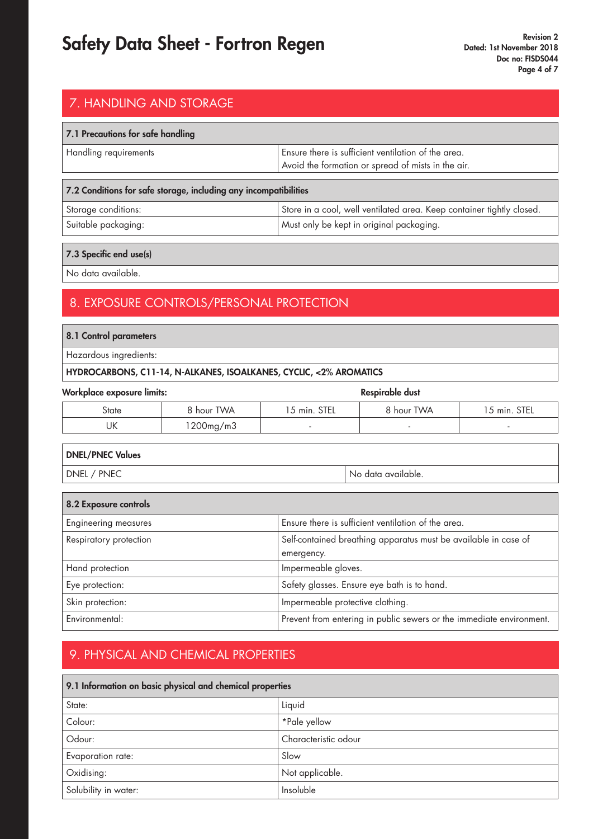## 7. HANDLING AND STORAGE

| 7.1 Precautions for safe handling |                                                                                                           |  |  |
|-----------------------------------|-----------------------------------------------------------------------------------------------------------|--|--|
| Handling requirements             | Ensure there is sufficient ventilation of the area.<br>Avoid the formation or spread of mists in the air. |  |  |
|                                   |                                                                                                           |  |  |

| 7.2 Conditions for safe storage, including any incompatibilities |                                                                       |  |
|------------------------------------------------------------------|-----------------------------------------------------------------------|--|
| Storage conditions:                                              | Store in a cool, well ventilated area. Keep container tightly closed. |  |
| Suitable packaging:                                              | Must only be kept in original packaging.                              |  |

### 7.3 Specific end use(s)

No data available.

## 8. EXPOSURE CONTROLS/PERSONAL PROTECTION

### 8.1 Control parameters

Hazardous ingredients:

### HYDROCARBONS, C11-14, N-ALKANES, ISOALKANES, CYCLIC, <2% AROMATICS

| <b>Workplace exposure limits:</b> |            |              | <b>Respirable dust</b> |              |
|-----------------------------------|------------|--------------|------------------------|--------------|
| State                             | 8 hour TWA | 15 min. STEL | 8 hour TWA             | 15 min. STEL |
| UΚ                                | 1200mg/m3  |              |                        |              |

| <b>DNEL/PNEC Values</b> |                    |
|-------------------------|--------------------|
| DNEL / PNEC             | No data available. |

| 8.2 Exposure controls       |                                                                               |
|-----------------------------|-------------------------------------------------------------------------------|
| <b>Engineering measures</b> | Ensure there is sufficient ventilation of the area.                           |
| Respiratory protection      | Self-contained breathing apparatus must be available in case of<br>emergency. |
| Hand protection             | Impermeable gloves.                                                           |
| Eye protection:             | Safety glasses. Ensure eye bath is to hand.                                   |
| Skin protection:            | Impermeable protective clothing.                                              |
| Environmental:              | Prevent from entering in public sewers or the immediate environment.          |

## 9. PHYSICAL AND CHEMICAL PROPERTIES

| 9.1 Information on basic physical and chemical properties |                      |
|-----------------------------------------------------------|----------------------|
| State:                                                    | Liquid               |
| Colour:                                                   | *Pale yellow         |
| Odour:                                                    | Characteristic odour |
| Evaporation rate:                                         | Slow                 |
| Oxidising:                                                | Not applicable.      |
| Solubility in water:                                      | Insoluble            |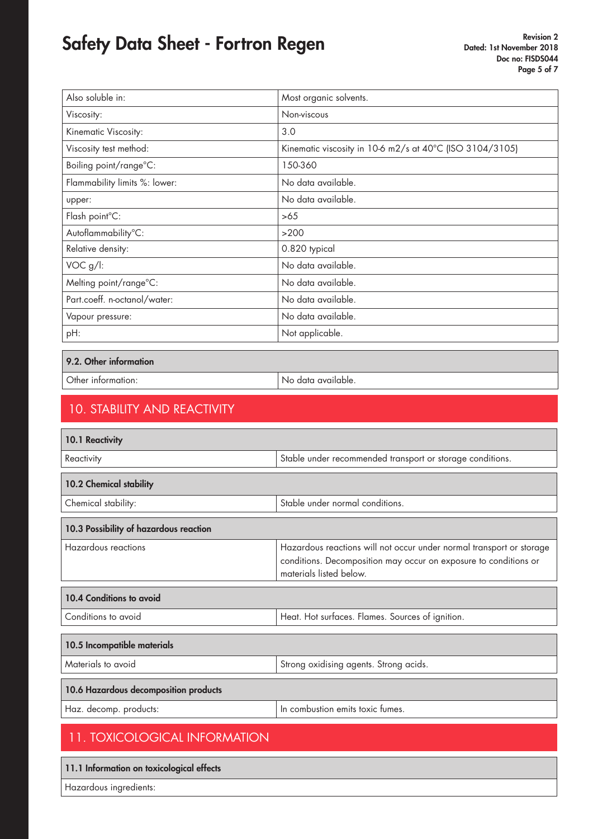| Also soluble in:              | Most organic solvents.                                   |
|-------------------------------|----------------------------------------------------------|
| Viscosity:                    | Non-viscous                                              |
| Kinematic Viscosity:          | 3.0                                                      |
| Viscosity test method:        | Kinematic viscosity in 10-6 m2/s at 40°C (ISO 3104/3105) |
| Boiling point/range°C:        | 150-360                                                  |
| Flammability limits %: lower: | No data available.                                       |
| upper:                        | No data available.                                       |
| Flash point°C:                | >65                                                      |
| Autoflammability°C:           | >200                                                     |
| Relative density:             | 0.820 typical                                            |
| VOC g/l:                      | No data available.                                       |
| Melting point/range°C:        | No data available.                                       |
| Part.coeff. n-octanol/water:  | No data available.                                       |
| Vapour pressure:              | No data available.                                       |
| pH:                           | Not applicable.                                          |

9.2. Other information

Other information:  $\big|$  No data available.

## 10. STABILITY AND REACTIVITY

| 10.1 Reactivity                        |                                                                                                                                                                     |
|----------------------------------------|---------------------------------------------------------------------------------------------------------------------------------------------------------------------|
| Reactivity                             | Stable under recommended transport or storage conditions.                                                                                                           |
| 10.2 Chemical stability                |                                                                                                                                                                     |
| Chemical stability:                    | Stable under normal conditions.                                                                                                                                     |
| 10.3 Possibility of hazardous reaction |                                                                                                                                                                     |
| <b>Hazardous reactions</b>             | Hazardous reactions will not occur under normal transport or storage<br>conditions. Decomposition may occur on exposure to conditions or<br>materials listed below. |
| 10.4 Conditions to avoid               |                                                                                                                                                                     |
| Conditions to avoid                    | Heat. Hot surfaces. Flames. Sources of ignition.                                                                                                                    |
| 10.5 Incompatible materials            |                                                                                                                                                                     |
| Materials to avoid                     | Strong oxidising agents. Strong acids.                                                                                                                              |
| 10.6 Hazardous decomposition products  |                                                                                                                                                                     |
| Haz. decomp. products:                 | In combustion emits toxic fumes.                                                                                                                                    |
| <b>11. TOXICOLOGICAL INFORMATION</b>   |                                                                                                                                                                     |
|                                        |                                                                                                                                                                     |

### 11.1 Information on toxicological effects

Hazardous ingredients: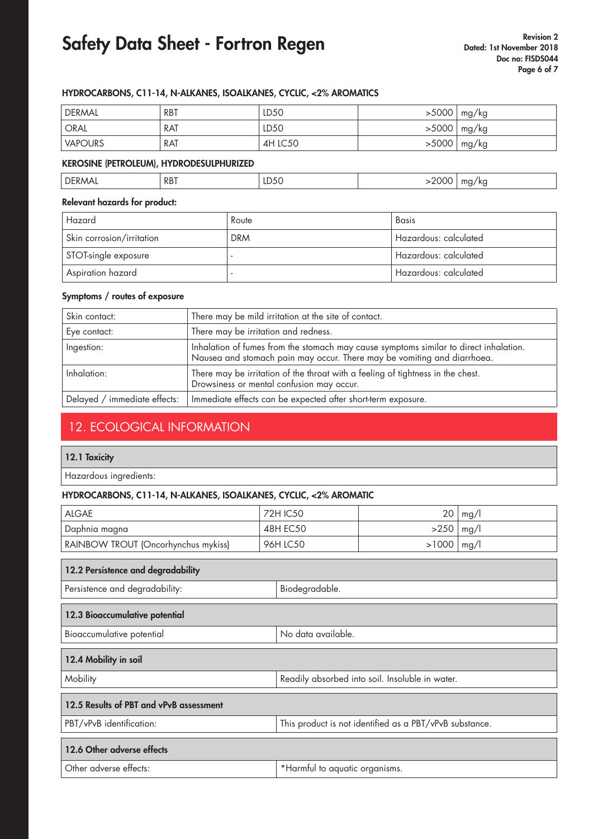#### HYDROCARBONS, C11-14, N-ALKANES, ISOALKANES, CYCLIC, <2% AROMATICS

| ' DERMAL | <b>RBT</b> | LD <sub>50</sub> | >5000 | mg/kg |
|----------|------------|------------------|-------|-------|
| ' ORAL   | RAT        | LD50             | >5000 | mg/kg |
| VAPOURS  | RAT        | 4H LC50          | >5000 | mg/kg |

#### KEROSINE (PETROLEUM), HYDRODESULPHURIZED

| тъг.<br>КD.<br>N<br>the contract of the contract of the contract of the contract of the contract of<br>$\sim$ $\sim$ $\sim$<br>. | <b>DRT</b> |  | $\overline{\phantom{a}}$ |
|----------------------------------------------------------------------------------------------------------------------------------|------------|--|--------------------------|

#### Relevant hazards for product:

| Hazard                    | Route      | Basis                 |
|---------------------------|------------|-----------------------|
| Skin corrosion/irritation | <b>DRM</b> | Hazardous: calculated |
| STOT-single exposure      |            | Hazardous: calculated |
| Aspiration hazard         |            | Hazardous: calculated |

#### Symptoms / routes of exposure

| Skin contact:                | There may be mild irritation at the site of contact.                                                                                                             |
|------------------------------|------------------------------------------------------------------------------------------------------------------------------------------------------------------|
| Eye contact:                 | There may be irritation and redness.                                                                                                                             |
| Ingestion:                   | Inhalation of fumes from the stomach may cause symptoms similar to direct inhalation.<br>Nausea and stomach pain may occur. There may be vomiting and diarrhoea. |
| Inhalation:                  | There may be irritation of the throat with a feeling of tightness in the chest.<br>Drowsiness or mental confusion may occur.                                     |
| Delayed / immediate effects: | Immediate effects can be expected after short-term exposure.                                                                                                     |

## 12. ECOLOGICAL INFORMATION

#### 12.1 Toxicity

Hazardous ingredients:

#### HYDROCARBONS, C11-14, N-ALKANES, ISOALKANES, CYCLIC, <2% AROMATIC

| <b>ALGAE</b>                                                                        |  | <b>72H IC50</b>                | 20    | mg/l |  |
|-------------------------------------------------------------------------------------|--|--------------------------------|-------|------|--|
| Daphnia magna                                                                       |  | <b>48H EC50</b>                | >250  | mg/l |  |
| RAINBOW TROUT (Oncorhynchus mykiss)                                                 |  | 96H LC50                       | >1000 | mg/l |  |
|                                                                                     |  |                                |       |      |  |
| 12.2 Persistence and degradability                                                  |  |                                |       |      |  |
| Persistence and degradability:<br>Biodegradable.                                    |  |                                |       |      |  |
| 12.3 Bioaccumulative potential                                                      |  |                                |       |      |  |
| No data available.<br>Bioaccumulative potential                                     |  |                                |       |      |  |
| 12.4 Mobility in soil                                                               |  |                                |       |      |  |
| Mobility<br>Readily absorbed into soil. Insoluble in water.                         |  |                                |       |      |  |
| 12.5 Results of PBT and vPvB assessment                                             |  |                                |       |      |  |
| PBT/vPvB identification:<br>This product is not identified as a PBT/vPvB substance. |  |                                |       |      |  |
| 12.6 Other adverse effects                                                          |  |                                |       |      |  |
| Other adverse effects:                                                              |  | *Harmful to aquatic organisms. |       |      |  |